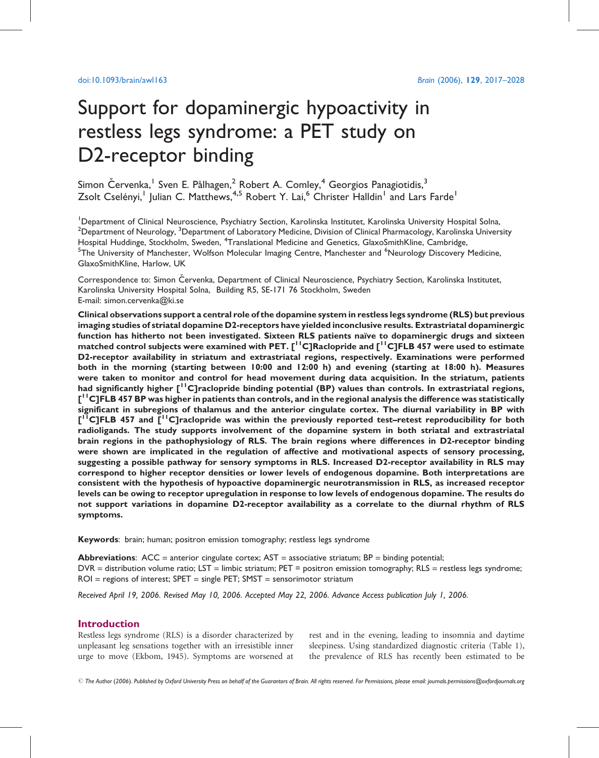# Support for dopaminergic hypoactivity in restless legs syndrome: a PET study on D2-receptor binding

Simon Červenka,<sup>1</sup> Sven E. Pålhagen,<sup>2</sup> Robert A. Comley,<sup>4</sup> Georgios Panagiotidis,<sup>3</sup> Zsolt Cselényi,<sup>1</sup> Julian C. Matthews,<sup>4,5</sup> Robert Y. Lai,<sup>6</sup> Christer Halldin<sup>1</sup> and Lars Farde<sup>1</sup>

<sup>1</sup>Department of Clinical Neuroscience, Psychiatry Section, Karolinska Institutet, Karolinska University Hospital Solna,  $^2$ Department of Neurology,  $^3$ Department of Laboratory Medicine, Division of Clinical Pharmacology, Karolinska University Hospital Huddinge, Stockholm, Sweden, <sup>4</sup>Translational Medicine and Genetics, GlaxoSmithKline, Cambridge, <sup>5</sup>The University of Manchester, Wolfson Molecular Imaging Centre, Manchester and <sup>6</sup>Neurology Discovery Medicine, GlaxoSmithKline, Harlow, UK

Correspondence to: Simon Cervenka, Department of Clinical Neuroscience, Psychiatry Section, Karolinska Institutet, Karolinska University Hospital Solna, Building R5, SE-171 76 Stockholm, Sweden E-mail: simon.cervenka@ki.se

Clinical observations support a central role of the dopamine system in restless legs syndrome (RLS) but previous imaging studies of striatal dopamine D2-receptors have yielded inconclusive results. Extrastriatal dopaminergic function has hitherto not been investigated. Sixteen RLS patients naïve to dopaminergic drugs and sixteen matched control subjects were examined with PET. [<sup>11</sup>C]Raclopride and [<sup>11</sup>C]FLB 457 were used to estimate D2-receptor availability in striatum and extrastriatal regions, respectively. Examinations were performed both in the morning (starting between 10:00 and 12:00 h) and evening (starting at 18:00 h). Measures were taken to monitor and control for head movement during data acquisition. In the striatum, patients had significantly higher [<sup>11</sup>C]raclopride binding potential (BP) values than controls. In extrastriatal regions, [<sup>11</sup>C]FLB 457 BP was higher in patients than controls, and in the regional analysis the difference was statistically significant in subregions of thalamus and the anterior cingulate cortex. The diurnal variability in BP with [<sup>17</sup>C]FLB 457 and [<sup>11</sup>C]raclopride was within the previously reported test-retest reproducibility for both radioligands. The study supports involvement of the dopamine system in both striatal and extrastriatal brain regions in the pathophysiology of RLS. The brain regions where differences in D2-receptor binding were shown are implicated in the regulation of affective and motivational aspects of sensory processing, suggesting a possible pathway for sensory symptoms in RLS. Increased D2-receptor availability in RLS may correspond to higher receptor densities or lower levels of endogenous dopamine. Both interpretations are consistent with the hypothesis of hypoactive dopaminergic neurotransmission in RLS, as increased receptor levels can be owing to receptor upregulation in response to low levels of endogenous dopamine. The results do not support variations in dopamine D2-receptor availability as a correlate to the diurnal rhythm of RLS symptoms.

Keywords: brain; human; positron emission tomography; restless legs syndrome

**Abbreviations:**  $ACC =$  anterior cingulate cortex;  $AST =$  associative striatum;  $BP =$  binding potential; DVR = distribution volume ratio; LST = limbic striatum; PET = positron emission tomography; RLS = restless legs syndrome;  $ROI = regions of interest$ ;  $SPET = single PET$ ;  $SMST = sensorimotor striatum$ 

Received April 19, 2006. Revised May 10, 2006. Accepted May 22, 2006. Advance Access publication July 1, 2006.

### Introduction

Restless legs syndrome (RLS) is a disorder characterized by unpleasant leg sensations together with an irresistible inner urge to move (Ekbom, 1945). Symptoms are worsened at rest and in the evening, leading to insomnia and daytime sleepiness. Using standardized diagnostic criteria (Table 1), the prevalence of RLS has recently been estimated to be

*#* The Author (2006). Published by Oxford University Press on behalf of the Guarantors of Brain. All rights reserved. For Permissions, please email: journals.permissions@oxfordjournals.org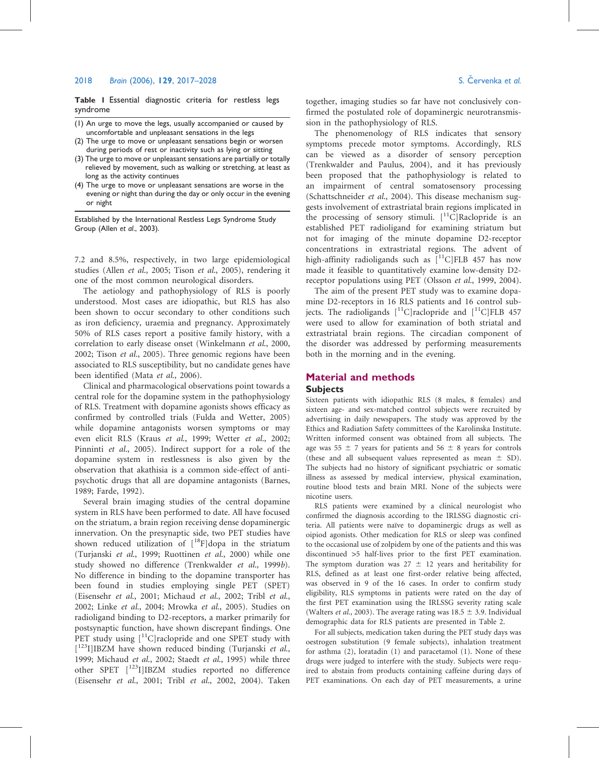Table 1 Essential diagnostic criteria for restless legs syndrome

- (1) An urge to move the legs, usually accompanied or caused by uncomfortable and unpleasant sensations in the legs
- (2) The urge to move or unpleasant sensations begin or worsen during periods of rest or inactivity such as lying or sitting
- (3) The urge to move or unpleasant sensations are partially or totally relieved by movement, such as walking or stretching, at least as long as the activity continues
- (4) The urge to move or unpleasant sensations are worse in the evening or night than during the day or only occur in the evening or night

Established by the International Restless Legs Syndrome Study Group (Allen et al., 2003).

7.2 and 8.5%, respectively, in two large epidemiological studies (Allen et al., 2005; Tison et al., 2005), rendering it one of the most common neurological disorders.

The aetiology and pathophysiology of RLS is poorly understood. Most cases are idiopathic, but RLS has also been shown to occur secondary to other conditions such as iron deficiency, uraemia and pregnancy. Approximately 50% of RLS cases report a positive family history, with a correlation to early disease onset (Winkelmann et al., 2000, 2002; Tison et al., 2005). Three genomic regions have been associated to RLS susceptibility, but no candidate genes have been identified (Mata et al., 2006).

Clinical and pharmacological observations point towards a central role for the dopamine system in the pathophysiology of RLS. Treatment with dopamine agonists shows efficacy as confirmed by controlled trials (Fulda and Wetter, 2005) while dopamine antagonists worsen symptoms or may even elicit RLS (Kraus et al., 1999; Wetter et al., 2002; Pinninti et al., 2005). Indirect support for a role of the dopamine system in restlessness is also given by the observation that akathisia is a common side-effect of antipsychotic drugs that all are dopamine antagonists (Barnes, 1989; Farde, 1992).

Several brain imaging studies of the central dopamine system in RLS have been performed to date. All have focused on the striatum, a brain region receiving dense dopaminergic innervation. On the presynaptic side, two PET studies have shown reduced utilization of  $[{}^{18}F]$ dopa in the striatum (Turjanski et al., 1999; Ruottinen et al., 2000) while one study showed no difference (Trenkwalder et al., 1999b). No difference in binding to the dopamine transporter has been found in studies employing single PET (SPET) (Eisensehr et al., 2001; Michaud et al., 2002; Tribl et al., 2002; Linke et al., 2004; Mrowka et al., 2005). Studies on radioligand binding to D2-receptors, a marker primarily for postsynaptic function, have shown discrepant findings. One PET study using  $[{}^{11}C]$ raclopride and one SPET study with [<sup>123</sup>I]IBZM have shown reduced binding (Turjanski et al., 1999; Michaud et al., 2002; Staedt et al., 1995) while three other SPET [123I]IBZM studies reported no difference (Eisensehr et al., 2001; Tribl et al., 2002, 2004). Taken

together, imaging studies so far have not conclusively confirmed the postulated role of dopaminergic neurotransmission in the pathophysiology of RLS.

The phenomenology of RLS indicates that sensory symptoms precede motor symptoms. Accordingly, RLS can be viewed as a disorder of sensory perception (Trenkwalder and Paulus, 2004), and it has previously been proposed that the pathophysiology is related to an impairment of central somatosensory processing (Schattschneider et al., 2004). This disease mechanism suggests involvement of extrastriatal brain regions implicated in the processing of sensory stimuli.  $[{}^{11}C]$ Raclopride is an established PET radioligand for examining striatum but not for imaging of the minute dopamine D2-receptor concentrations in extrastriatal regions. The advent of high-affinity radioligands such as  $[{}^{11}C]FLB$  457 has now made it feasible to quantitatively examine low-density D2 receptor populations using PET (Olsson et al., 1999, 2004).

The aim of the present PET study was to examine dopamine D2-receptors in 16 RLS patients and 16 control subjects. The radioligands  $[{}^{11}C]$ raclopride and  $[{}^{11}C]$ FLB 457 were used to allow for examination of both striatal and extrastriatal brain regions. The circadian component of the disorder was addressed by performing measurements both in the morning and in the evening.

# Material and methods

### Subjects

Sixteen patients with idiopathic RLS (8 males, 8 females) and sixteen age- and sex-matched control subjects were recruited by advertising in daily newspapers. The study was approved by the Ethics and Radiation Safety committees of the Karolinska Institute. Written informed consent was obtained from all subjects. The age was 55  $\pm$  7 years for patients and 56  $\pm$  8 years for controls (these and all subsequent values represented as mean  $\pm$  SD). The subjects had no history of significant psychiatric or somatic illness as assessed by medical interview, physical examination, routine blood tests and brain MRI. None of the subjects were nicotine users.

RLS patients were examined by a clinical neurologist who confirmed the diagnosis according to the IRLSSG diagnostic criteria. All patients were naïve to dopaminergic drugs as well as oipiod agonists. Other medication for RLS or sleep was confined to the occasional use of zolpidem by one of the patients and this was discontinued >5 half-lives prior to the first PET examination. The symptom duration was  $27 \pm 12$  years and heritability for RLS, defined as at least one first-order relative being affected, was observed in 9 of the 16 cases. In order to confirm study eligibility, RLS symptoms in patients were rated on the day of the first PET examination using the IRLSSG severity rating scale (Walters *et al.*, 2003). The average rating was  $18.5 \pm 3.9$ . Individual demographic data for RLS patients are presented in Table 2.

For all subjects, medication taken during the PET study days was oestrogen substitution (9 female subjects), inhalation treatment for asthma (2), loratadin (1) and paracetamol (1). None of these drugs were judged to interfere with the study. Subjects were required to abstain from products containing caffeine during days of PET examinations. On each day of PET measurements, a urine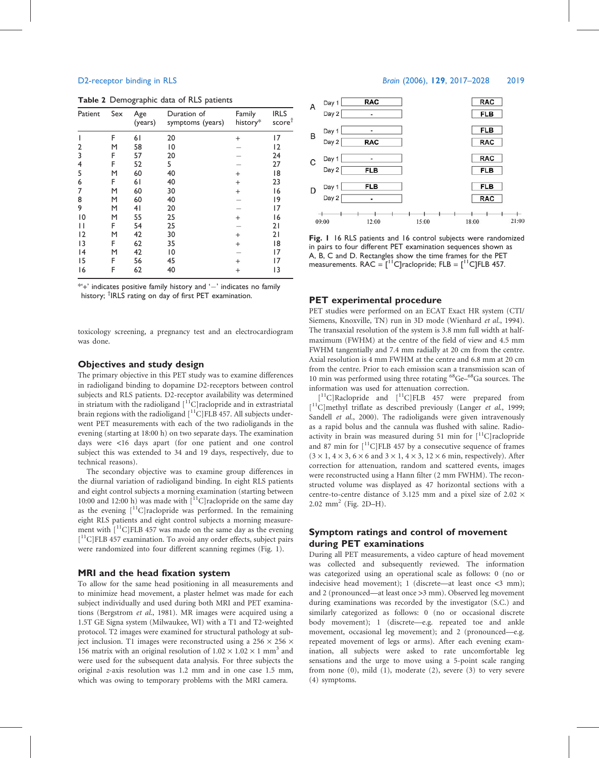Table 2 Demographic data of RLS patients

| Patient        | Sex | Age<br>(years) | Duration of<br>symptoms (years) | Family<br>history* | <b>IRLS</b><br>score <sup>†</sup> |
|----------------|-----|----------------|---------------------------------|--------------------|-----------------------------------|
|                | F   | 61             | 20                              | $+$                | 17                                |
| 2              | M   | 58             | $\overline{0}$                  |                    | 12                                |
| 3              | F   | 57             | 20                              |                    | 24                                |
| 4              | F   | 52             | 5                               |                    | 27                                |
| 5              | M   | 60             | 40                              | $^{+}$             | 18                                |
| 6              | F   | 61             | 40                              | $^{+}$             | 23                                |
| 7              | M   | 60             | 30                              | $+$                | 16                                |
| 8              | M   | 60             | 40                              |                    | 19                                |
| 9              | M   | 4 <sub>1</sub> | 20                              |                    | 17                                |
| $\overline{0}$ | M   | 55             | 25                              | $+$                | 16                                |
| Н              | F   | 54             | 25                              |                    | 21                                |
| 12             | М   | 42             | 30                              | $^{+}$             | 21                                |
| 13             | F   | 62             | 35                              | $+$                | 18                                |
| 4              | M   | 42             | 10                              |                    | 17                                |
| 15             | F   | 56             | 45                              | $^{+}$             | 17                                |
| 16             | F   | 62             | 40                              | $+$                | 13                                |
|                |     |                |                                 |                    |                                   |

 $*+$ ' indicates positive family history and  $-$ ' indicates no family history; † IRLS rating on day of first PET examination.

toxicology screening, a pregnancy test and an electrocardiogram was done.

#### Objectives and study design

The primary objective in this PET study was to examine differences in radioligand binding to dopamine D2-receptors between control subjects and RLS patients. D2-receptor availability was determined in striatum with the radioligand  $[$ <sup>11</sup>C]raclopride and in extrastriatal brain regions with the radioligand [<sup>11</sup>C]FLB 457. All subjects underwent PET measurements with each of the two radioligands in the evening (starting at 18:00 h) on two separate days. The examination days were <16 days apart (for one patient and one control subject this was extended to 34 and 19 days, respectively, due to technical reasons).

The secondary objective was to examine group differences in the diurnal variation of radioligand binding. In eight RLS patients and eight control subjects a morning examination (starting between 10:00 and 12:00 h) was made with  $[$ <sup>11</sup>C]raclopride on the same day as the evening  $[$ <sup>11</sup>C]raclopride was performed. In the remaining eight RLS patients and eight control subjects a morning measurement with  $[$ <sup>11</sup>C]FLB 457 was made on the same day as the evening [ 11C]FLB 457 examination. To avoid any order effects, subject pairs were randomized into four different scanning regimes (Fig. 1).

### MRI and the head fixation system

To allow for the same head positioning in all measurements and to minimize head movement, a plaster helmet was made for each subject individually and used during both MRI and PET examinations (Bergstrom et al., 1981). MR images were acquired using a 1.5T GE Signa system (Milwaukee, WI) with a T1 and T2-weighted protocol. T2 images were examined for structural pathology at subject inclusion. T1 images were reconstructed using a  $256 \times 256 \times$ 156 matrix with an original resolution of  $1.02 \times 1.02 \times 1$  mm<sup>3</sup> and were used for the subsequent data analysis. For three subjects the original z-axis resolution was 1.2 mm and in one case 1.5 mm, which was owing to temporary problems with the MRI camera.



Fig. 1 16 RLS patients and 16 control subjects were randomized in pairs to four different PET examination sequences shown as A, B, C and D. Rectangles show the time frames for the PET measurements.  $RAC = \left[\begin{matrix} 1 & 1 \\ 1 & 1 \end{matrix}\right]$ raclopride;  $FLB = \left[\begin{matrix} 1 & 1 \\ 1 & 1 \end{matrix}\right]$ FLB 457.

#### PET experimental procedure

PET studies were performed on an ECAT Exact HR system (CTI/ Siemens, Knoxville, TN) run in 3D mode (Wienhard et al., 1994). The transaxial resolution of the system is 3.8 mm full width at halfmaximum (FWHM) at the centre of the field of view and 4.5 mm FWHM tangentially and 7.4 mm radially at 20 cm from the centre. Axial resolution is 4 mm FWHM at the centre and 6.8 mm at 20 cm from the centre. Prior to each emission scan a transmission scan of 10 min was performed using three rotating <sup>68</sup>Ge-<sup>68</sup>Ga sources. The information was used for attenuation correction.

[<sup>11</sup>C]Raclopride and [<sup>11</sup>C]FLB 457 were prepared from [<sup>11</sup>C]methyl triflate as described previously (Langer et al., 1999; Sandell et al., 2000). The radioligands were given intravenously as a rapid bolus and the cannula was flushed with saline. Radioactivity in brain was measured during 51 min for  $[$ <sup>11</sup>C]raclopride and 87 min for  $\binom{11}{1}$ FLB 457 by a consecutive sequence of frames  $(3 \times 1, 4 \times 3, 6 \times 6$  and  $3 \times 1, 4 \times 3, 12 \times 6$  min, respectively). After correction for attenuation, random and scattered events, images were reconstructed using a Hann filter (2 mm FWHM). The reconstructed volume was displayed as 47 horizontal sections with a centre-to-centre distance of 3.125 mm and a pixel size of 2.02  $\times$ 2.02 mm<sup>2</sup> (Fig. 2D–H).

# Symptom ratings and control of movement during PET examinations

During all PET measurements, a video capture of head movement was collected and subsequently reviewed. The information was categorized using an operational scale as follows: 0 (no or indecisive head movement); 1 (discrete—at least once <3 mm); and 2 (pronounced—at least once >3 mm). Observed leg movement during examinations was recorded by the investigator (S.C.) and similarly categorized as follows: 0 (no or occasional discrete body movement); 1 (discrete—e.g. repeated toe and ankle movement, occasional leg movement); and 2 (pronounced—e.g. repeated movement of legs or arms). After each evening examination, all subjects were asked to rate uncomfortable leg sensations and the urge to move using a 5-point scale ranging from none (0), mild (1), moderate (2), severe (3) to very severe (4) symptoms.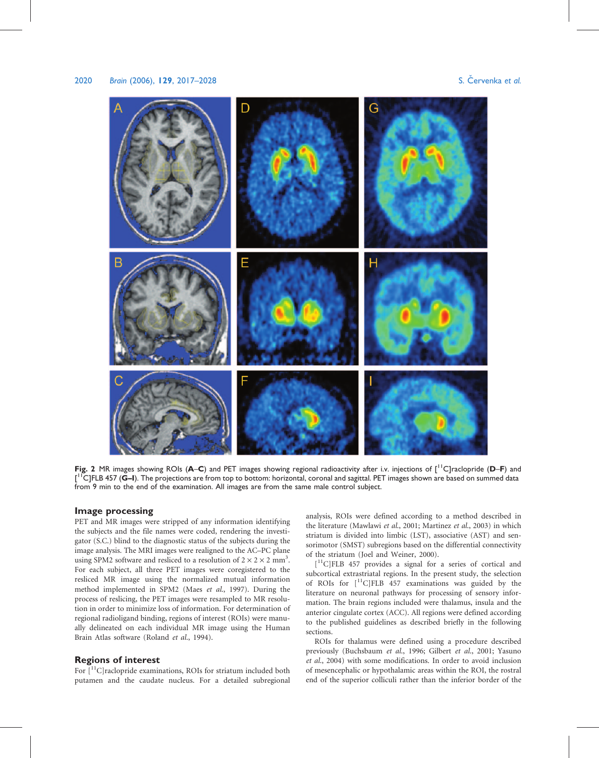

Fig. 2 MR images showing ROIs ( $A-C$ ) and PET images showing regional radioactivity after i.v. injections of  $[$ <sup>11</sup>C]raclopride ( $D-F$ ) and [  $\Gamma$ C]FLB 457 (G–I). The projections are from top to bottom: horizontal, coronal and sagittal. PET images shown are based on summed data from 9 min to the end of the examination. All images are from the same male control subject.

#### Image processing

PET and MR images were stripped of any information identifying the subjects and the file names were coded, rendering the investigator (S.C.) blind to the diagnostic status of the subjects during the image analysis. The MRI images were realigned to the AC–PC plane using SPM2 software and resliced to a resolution of  $2 \times 2 \times 2$  mm<sup>3</sup>. For each subject, all three PET images were coregistered to the resliced MR image using the normalized mutual information method implemented in SPM2 (Maes et al., 1997). During the process of reslicing, the PET images were resampled to MR resolution in order to minimize loss of information. For determination of regional radioligand binding, regions of interest (ROIs) were manually delineated on each individual MR image using the Human Brain Atlas software (Roland et al., 1994).

#### Regions of interest

For  $\lceil$ <sup>11</sup>C raclopride examinations, ROIs for striatum included both putamen and the caudate nucleus. For a detailed subregional

analysis, ROIs were defined according to a method described in the literature (Mawlawi et al., 2001; Martinez et al., 2003) in which striatum is divided into limbic (LST), associative (AST) and sensorimotor (SMST) subregions based on the differential connectivity of the striatum (Joel and Weiner, 2000).

[ 11C]FLB 457 provides a signal for a series of cortical and subcortical extrastriatal regions. In the present study, the selection of ROIs for  $[^{11}C]$ FLB 457 examinations was guided by the literature on neuronal pathways for processing of sensory information. The brain regions included were thalamus, insula and the anterior cingulate cortex (ACC). All regions were defined according to the published guidelines as described briefly in the following sections.

ROIs for thalamus were defined using a procedure described previously (Buchsbaum et al., 1996; Gilbert et al., 2001; Yasuno et al., 2004) with some modifications. In order to avoid inclusion of mesencephalic or hypothalamic areas within the ROI, the rostral end of the superior colliculi rather than the inferior border of the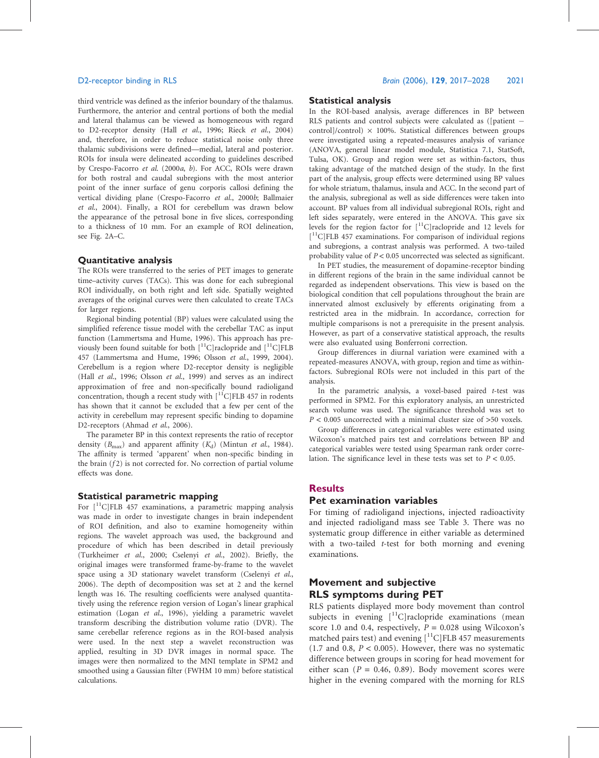third ventricle was defined as the inferior boundary of the thalamus. Furthermore, the anterior and central portions of both the medial and lateral thalamus can be viewed as homogeneous with regard to D2-receptor density (Hall et al., 1996; Rieck et al., 2004) and, therefore, in order to reduce statistical noise only three thalamic subdivisions were defined—medial, lateral and posterior. ROIs for insula were delineated according to guidelines described by Crespo-Facorro et al. (2000a, b). For ACC, ROIs were drawn for both rostral and caudal subregions with the most anterior point of the inner surface of genu corporis callosi defining the vertical dividing plane (Crespo-Facorro et al., 2000b; Ballmaier et al., 2004). Finally, a ROI for cerebellum was drawn below the appearance of the petrosal bone in five slices, corresponding to a thickness of 10 mm. For an example of ROI delineation, see Fig. 2A–C.

#### Quantitative analysis

The ROIs were transferred to the series of PET images to generate time–activity curves (TACs). This was done for each subregional ROI individually, on both right and left side. Spatially weighted averages of the original curves were then calculated to create TACs for larger regions.

Regional binding potential (BP) values were calculated using the simplified reference tissue model with the cerebellar TAC as input function (Lammertsma and Hume, 1996). This approach has previously been found suitable for both  $\binom{11}{ }$ C raclopride and  $\binom{11}{ }$ C FLB 457 (Lammertsma and Hume, 1996; Olsson et al., 1999, 2004). Cerebellum is a region where D2-receptor density is negligible (Hall et al., 1996; Olsson et al., 1999) and serves as an indirect approximation of free and non-specifically bound radioligand concentration, though a recent study with  $\binom{11}{1}$ C]FLB 457 in rodents has shown that it cannot be excluded that a few per cent of the activity in cerebellum may represent specific binding to dopamine D2-receptors (Ahmad et al., 2006).

The parameter BP in this context represents the ratio of receptor density ( $B_{\text{max}}$ ) and apparent affinity ( $K_d$ ) (Mintun et al., 1984). The affinity is termed 'apparent' when non-specific binding in the brain  $(f2)$  is not corrected for. No correction of partial volume effects was done.

#### Statistical parametric mapping

For  $[$ <sup>11</sup>C]FLB 457 examinations, a parametric mapping analysis was made in order to investigate changes in brain independent of ROI definition, and also to examine homogeneity within regions. The wavelet approach was used, the background and procedure of which has been described in detail previously (Turkheimer et al., 2000; Cselenyi et al., 2002). Briefly, the original images were transformed frame-by-frame to the wavelet space using a 3D stationary wavelet transform (Cselenyi et al., 2006). The depth of decomposition was set at 2 and the kernel length was 16. The resulting coefficients were analysed quantitatively using the reference region version of Logan's linear graphical estimation (Logan et al., 1996), yielding a parametric wavelet transform describing the distribution volume ratio (DVR). The same cerebellar reference regions as in the ROI-based analysis were used. In the next step a wavelet reconstruction was applied, resulting in 3D DVR images in normal space. The images were then normalized to the MNI template in SPM2 and smoothed using a Gaussian filter (FWHM 10 mm) before statistical calculations.

#### Statistical analysis

In the ROI-based analysis, average differences in BP between RLS patients and control subjects were calculated as ([patient control]/control)  $\times$  100%. Statistical differences between groups were investigated using a repeated-measures analysis of variance (ANOVA, general linear model module, Statistica 7.1, StatSoft, Tulsa, OK). Group and region were set as within-factors, thus taking advantage of the matched design of the study. In the first part of the analysis, group effects were determined using BP values for whole striatum, thalamus, insula and ACC. In the second part of the analysis, subregional as well as side differences were taken into account. BP values from all individual subregional ROIs, right and left sides separately, were entered in the ANOVA. This gave six levels for the region factor for  $\int_0^{11}C\vert$  raclopride and 12 levels for [ 11C]FLB 457 examinations. For comparison of individual regions and subregions, a contrast analysis was performed. A two-tailed probability value of  $P < 0.05$  uncorrected was selected as significant.

In PET studies, the measurement of dopamine-receptor binding in different regions of the brain in the same individual cannot be regarded as independent observations. This view is based on the biological condition that cell populations throughout the brain are innervated almost exclusively by efferents originating from a restricted area in the midbrain. In accordance, correction for multiple comparisons is not a prerequisite in the present analysis. However, as part of a conservative statistical approach, the results were also evaluated using Bonferroni correction.

Group differences in diurnal variation were examined with a repeated-measures ANOVA, with group, region and time as withinfactors. Subregional ROIs were not included in this part of the analysis.

In the parametric analysis, a voxel-based paired  $t$ -test was performed in SPM2. For this exploratory analysis, an unrestricted search volume was used. The significance threshold was set to  $P < 0.005$  uncorrected with a minimal cluster size of  $>50$  voxels.

Group differences in categorical variables were estimated using Wilcoxon's matched pairs test and correlations between BP and categorical variables were tested using Spearman rank order correlation. The significance level in these tests was set to  $P < 0.05$ .

# **Results**

# Pet examination variables

For timing of radioligand injections, injected radioactivity and injected radioligand mass see Table 3. There was no systematic group difference in either variable as determined with a two-tailed t-test for both morning and evening examinations.

# Movement and subjective RLS symptoms during PET

RLS patients displayed more body movement than control subjects in evening  $\lceil$ <sup>11</sup>C | raclopride examinations (mean score 1.0 and 0.4, respectively,  $P = 0.028$  using Wilcoxon's matched pairs test) and evening  $\lceil {^{11}C} \rceil$ FLB 457 measurements (1.7 and 0.8,  $P < 0.005$ ). However, there was no systematic difference between groups in scoring for head movement for either scan ( $P = 0.46, 0.89$ ). Body movement scores were higher in the evening compared with the morning for RLS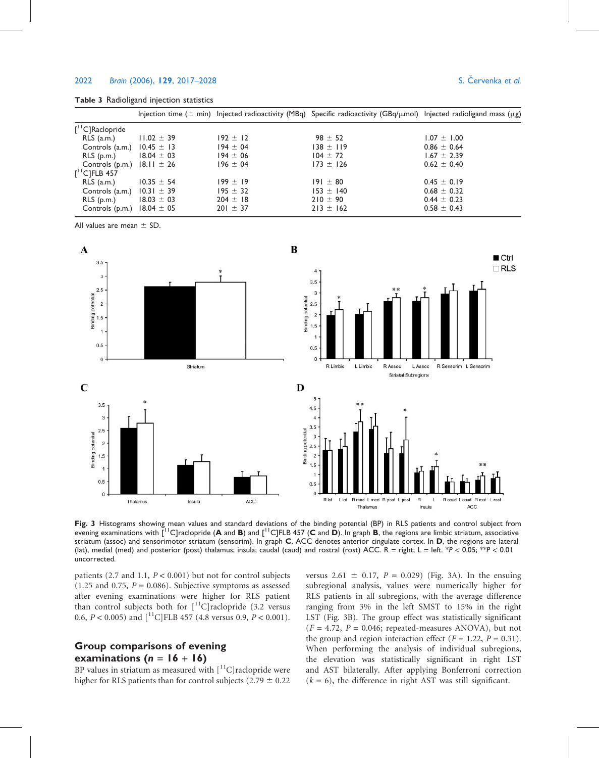|  | Table 3 Radioligand injection statistics |  |  |
|--|------------------------------------------|--|--|
|--|------------------------------------------|--|--|

|                                           |                |              | Injection time ( $\pm$ min) Injected radioactivity (MBq) Specific radioactivity (GBq/ $\mu$ mol) Injected radioligand mass ( $\mu$ g) |                 |
|-------------------------------------------|----------------|--------------|---------------------------------------------------------------------------------------------------------------------------------------|-----------------|
| $\int$ <sup>11</sup> C]Raclopride         |                |              |                                                                                                                                       |                 |
| $RLS$ (a.m.)                              | $11.02 \pm 39$ | $192 \pm 12$ | $98 \pm 52$                                                                                                                           | $1.07 \pm 1.00$ |
| Controls (a.m.)                           | $10.45 \pm 13$ | $194 \pm 04$ | $138 \pm 119$                                                                                                                         | $0.86 \pm 0.64$ |
| $RLS$ (p.m.)                              | $18.04 \pm 03$ | $194 \pm 06$ | $104 \pm 72$                                                                                                                          | $1.67 \pm 2.39$ |
| Controls (p.m.)                           | $18.11 \pm 26$ | $196 \pm 04$ | $173 \pm 126$                                                                                                                         | $0.62 \pm 0.40$ |
| $\int$ <sup>1</sup> C <sub>JFLB</sub> 457 |                |              |                                                                                                                                       |                 |
| $RLS$ (a.m.)                              | $10.35 \pm 54$ | $199 \pm 19$ | $191 \pm 80$                                                                                                                          | $0.45 \pm 0.19$ |
| Controls (a.m.)                           | $10.31 \pm 39$ | $195 \pm 32$ | $153 \pm 140$                                                                                                                         | $0.68 \pm 0.32$ |
| $RLS$ (p.m.)                              | $18.03 \pm 03$ | $204 \pm 18$ | $210 \pm 90$                                                                                                                          | $0.44 \pm 0.23$ |
| Controls (p.m.)                           | $18.04 \pm 05$ | $201 \pm 37$ | $213 \pm 162$                                                                                                                         | $0.58 \pm 0.43$ |

All values are mean  $\pm$  SD.



Fig. 3 Histograms showing mean values and standard deviations of the binding potential (BP) in RLS patients and control subject from evening examinations with  $\overline{[}^{11}C]$  raclopride (A and B) and  $\overline{[}^{11}C]$  FLB 457 (C and D). In graph B, the regions are limbic striatum, associative striatum (assoc) and sensorimotor striatum (sensorim). In graph C, ACC denotes anterior cingulate cortex. In D, the regions are lateral (lat), medial (med) and posterior (post) thalamus; insula; caudal (caud) and rostral (rost) ACC. R = right; L = left. \*P < 0.05; \*\*P < 0.01 uncorrected.

patients (2.7 and 1.1,  $P < 0.001$ ) but not for control subjects  $(1.25 \text{ and } 0.75, P = 0.086)$ . Subjective symptoms as assessed after evening examinations were higher for RLS patient than control subjects both for  $\int_0^{11}$ C raclopride (3.2 versus 0.6,  $P < 0.005$ ) and  $\binom{11}{1}$ C FLB 457 (4.8 versus 0.9,  $P < 0.001$ ).

# Group comparisons of evening examinations ( $n = 16 + 16$ )

BP values in striatum as measured with  $\lceil {^{11}C}\rceil$ raclopride were higher for RLS patients than for control subjects (2.79  $\pm$  0.22

versus 2.61  $\pm$  0.17, P = 0.029) (Fig. 3A). In the ensuing subregional analysis, values were numerically higher for RLS patients in all subregions, with the average difference ranging from 3% in the left SMST to 15% in the right LST (Fig. 3B). The group effect was statistically significant  $(F = 4.72, P = 0.046;$  repeated-measures ANOVA), but not the group and region interaction effect ( $F = 1.22$ ,  $P = 0.31$ ). When performing the analysis of individual subregions, the elevation was statistically significant in right LST and AST bilaterally. After applying Bonferroni correction  $(k = 6)$ , the difference in right AST was still significant.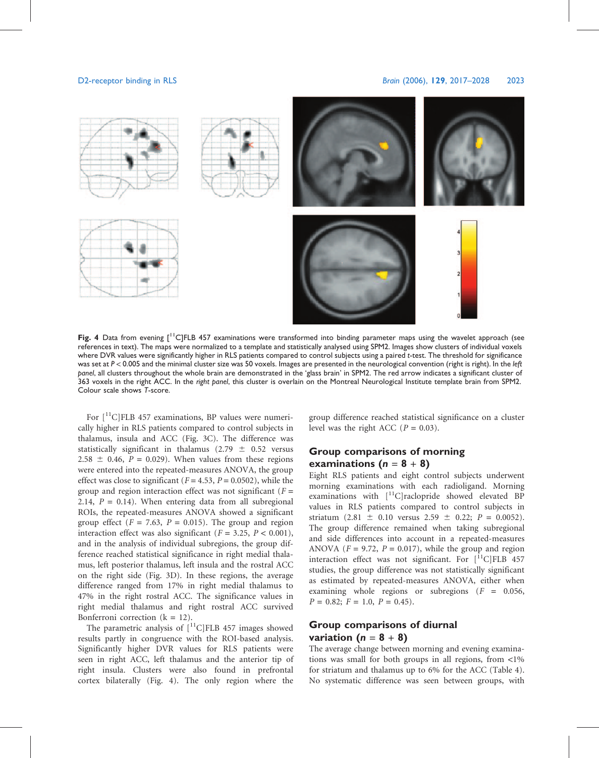

Fig. 4 Data from evening  $\int^1$ C]FLB 457 examinations were transformed into binding parameter maps using the wavelet approach (see references in text). The maps were normalized to a template and statistically analysed using SPM2. Images show clusters of individual voxels where DVR values were significantly higher in RLS patients compared to control subjects using a paired t-test. The threshold for significance was set at P < 0.005 and the minimal cluster size was 50 voxels. Images are presented in the neurological convention (right is right). In the left panel, all clusters throughout the whole brain are demonstrated in the 'glass brain' in SPM2. The red arrow indicates a significant cluster of 363 voxels in the right ACC. In the right panel, this cluster is overlain on the Montreal Neurological Institute template brain from SPM2. Colour scale shows T-score.

For  $\lceil$ <sup>11</sup>C $\rceil$ FLB 457 examinations, BP values were numerically higher in RLS patients compared to control subjects in thalamus, insula and ACC (Fig. 3C). The difference was statistically significant in thalamus (2.79  $\pm$  0.52 versus  $2.58 \pm 0.46$ ,  $P = 0.029$ ). When values from these regions were entered into the repeated-measures ANOVA, the group effect was close to significant ( $F = 4.53$ ,  $P = 0.0502$ ), while the group and region interaction effect was not significant ( $F =$ 2.14,  $P = 0.14$ ). When entering data from all subregional ROIs, the repeated-measures ANOVA showed a significant group effect ( $F = 7.63$ ,  $P = 0.015$ ). The group and region interaction effect was also significant ( $F = 3.25$ ,  $P < 0.001$ ), and in the analysis of individual subregions, the group difference reached statistical significance in right medial thalamus, left posterior thalamus, left insula and the rostral ACC on the right side (Fig. 3D). In these regions, the average difference ranged from 17% in right medial thalamus to 47% in the right rostral ACC. The significance values in right medial thalamus and right rostral ACC survived Bonferroni correction  $(k = 12)$ .

The parametric analysis of  $\binom{11}{1}$ C|FLB 457 images showed results partly in congruence with the ROI-based analysis. Significantly higher DVR values for RLS patients were seen in right ACC, left thalamus and the anterior tip of right insula. Clusters were also found in prefrontal cortex bilaterally (Fig. 4). The only region where the

group difference reached statistical significance on a cluster level was the right ACC ( $P = 0.03$ ).

# Group comparisons of morning examinations ( $n = 8 + 8$ )

Eight RLS patients and eight control subjects underwent morning examinations with each radioligand. Morning examinations with  $[$ <sup>11</sup>C]raclopride showed elevated BP values in RLS patients compared to control subjects in striatum  $(2.81 \pm 0.10$  versus  $2.59 \pm 0.22$ ;  $P = 0.0052$ ). The group difference remained when taking subregional and side differences into account in a repeated-measures ANOVA ( $F = 9.72$ ,  $P = 0.017$ ), while the group and region interaction effect was not significant. For  $[^{11}C]$ FLB 457 studies, the group difference was not statistically significant as estimated by repeated-measures ANOVA, either when examining whole regions or subregions  $(F = 0.056,$  $P = 0.82$ ;  $F = 1.0$ ,  $P = 0.45$ ).

# Group comparisons of diurnal variation ( $n = 8 + 8$ )

The average change between morning and evening examinations was small for both groups in all regions, from <1% for striatum and thalamus up to 6% for the ACC (Table 4). No systematic difference was seen between groups, with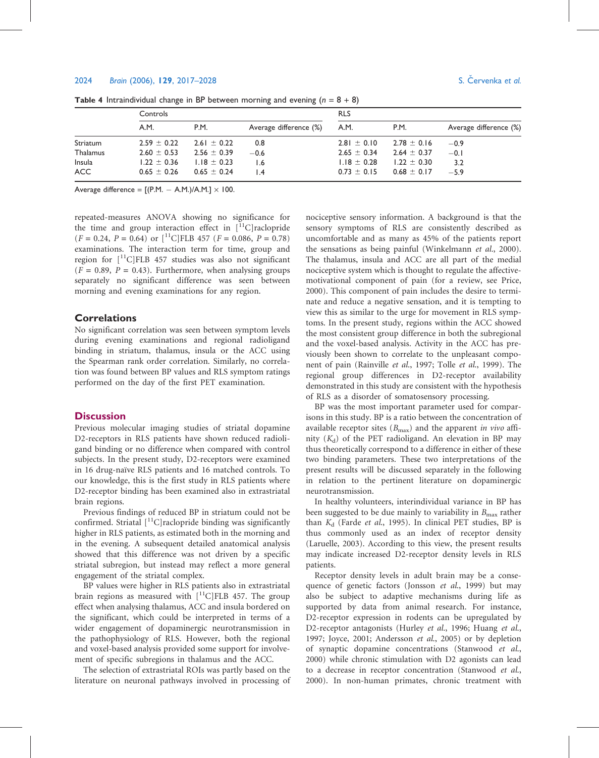|                 | Controls        |                 |                        | <b>RLS</b>      |                 |                        |
|-----------------|-----------------|-----------------|------------------------|-----------------|-----------------|------------------------|
|                 | A.M.            | P.M.            | Average difference (%) | A.M.            | <b>P.M.</b>     | Average difference (%) |
| Striatum        | $2.59 \pm 0.22$ | $2.61 \pm 0.22$ | 0.8                    | $2.81 \pm 0.10$ | $2.78 \pm 0.16$ | $-0.9$                 |
| <b>Thalamus</b> | $2.60 \pm 0.53$ | $2.56 \pm 0.39$ | $-0.6$                 | $2.65 \pm 0.34$ | $2.64 \pm 0.37$ | $-0.1$                 |
| Insula          | $1.22 \pm 0.36$ | $1.18 \pm 0.23$ | 1.6                    | $1.18 \pm 0.28$ | $1.22 \pm 0.30$ | 3.2                    |
| <b>ACC</b>      | $0.65 \pm 0.26$ | $0.65 \pm 0.24$ | $\cdot$                | $0.73 \pm 0.15$ | $0.68 \pm 0.17$ | $-5.9$                 |

**Table 4** Intraindividual change in BP between morning and evening  $(n = 8 + 8)$ 

Average difference =  $[(P.M. - A.M.)/A.M.] \times 100$ .

repeated-measures ANOVA showing no significance for the time and group interaction effect in  $\left[ {}^{11}C\right]$  raclopride  $(F = 0.24, P = 0.64)$  or  $\binom{11}{1}$ C FLB 457 ( $F = 0.086, P = 0.78$ ) examinations. The interaction term for time, group and region for  $[$ <sup>11</sup>C $]$ FLB 457 studies was also not significant  $(F = 0.89, P = 0.43)$ . Furthermore, when analysing groups separately no significant difference was seen between morning and evening examinations for any region.

# **Correlations**

No significant correlation was seen between symptom levels during evening examinations and regional radioligand binding in striatum, thalamus, insula or the ACC using the Spearman rank order correlation. Similarly, no correlation was found between BP values and RLS symptom ratings performed on the day of the first PET examination.

#### **Discussion**

Previous molecular imaging studies of striatal dopamine D2-receptors in RLS patients have shown reduced radioligand binding or no difference when compared with control subjects. In the present study, D2-receptors were examined in 16 drug-naïve RLS patients and 16 matched controls. To our knowledge, this is the first study in RLS patients where D2-receptor binding has been examined also in extrastriatal brain regions.

Previous findings of reduced BP in striatum could not be confirmed. Striatal  $[{}^{11}C]$ raclopride binding was significantly higher in RLS patients, as estimated both in the morning and in the evening. A subsequent detailed anatomical analysis showed that this difference was not driven by a specific striatal subregion, but instead may reflect a more general engagement of the striatal complex.

BP values were higher in RLS patients also in extrastriatal brain regions as measured with  $[$ <sup>11</sup>C]FLB 457. The group effect when analysing thalamus, ACC and insula bordered on the significant, which could be interpreted in terms of a wider engagement of dopaminergic neurotransmission in the pathophysiology of RLS. However, both the regional and voxel-based analysis provided some support for involvement of specific subregions in thalamus and the ACC.

The selection of extrastriatal ROIs was partly based on the literature on neuronal pathways involved in processing of nociceptive sensory information. A background is that the sensory symptoms of RLS are consistently described as uncomfortable and as many as 45% of the patients report the sensations as being painful (Winkelmann et al., 2000). The thalamus, insula and ACC are all part of the medial nociceptive system which is thought to regulate the affectivemotivational component of pain (for a review, see Price, 2000). This component of pain includes the desire to terminate and reduce a negative sensation, and it is tempting to view this as similar to the urge for movement in RLS symptoms. In the present study, regions within the ACC showed the most consistent group difference in both the subregional and the voxel-based analysis. Activity in the ACC has previously been shown to correlate to the unpleasant component of pain (Rainville et al., 1997; Tolle et al., 1999). The regional group differences in D2-receptor availability demonstrated in this study are consistent with the hypothesis of RLS as a disorder of somatosensory processing.

BP was the most important parameter used for comparisons in this study. BP is a ratio between the concentration of available receptor sites  $(B_{\text{max}})$  and the apparent in vivo affinity  $(K_d)$  of the PET radioligand. An elevation in BP may thus theoretically correspond to a difference in either of these two binding parameters. These two interpretations of the present results will be discussed separately in the following in relation to the pertinent literature on dopaminergic neurotransmission.

In healthy volunteers, interindividual variance in BP has been suggested to be due mainly to variability in  $B_{\text{max}}$  rather than  $K_d$  (Farde et al., 1995). In clinical PET studies, BP is thus commonly used as an index of receptor density (Laruelle, 2003). According to this view, the present results may indicate increased D2-receptor density levels in RLS patients.

Receptor density levels in adult brain may be a consequence of genetic factors (Jonsson et al., 1999) but may also be subject to adaptive mechanisms during life as supported by data from animal research. For instance, D2-receptor expression in rodents can be upregulated by D2-receptor antagonists (Hurley et al., 1996; Huang et al., 1997; Joyce, 2001; Andersson et al., 2005) or by depletion of synaptic dopamine concentrations (Stanwood et al., 2000) while chronic stimulation with D2 agonists can lead to a decrease in receptor concentration (Stanwood et al., 2000). In non-human primates, chronic treatment with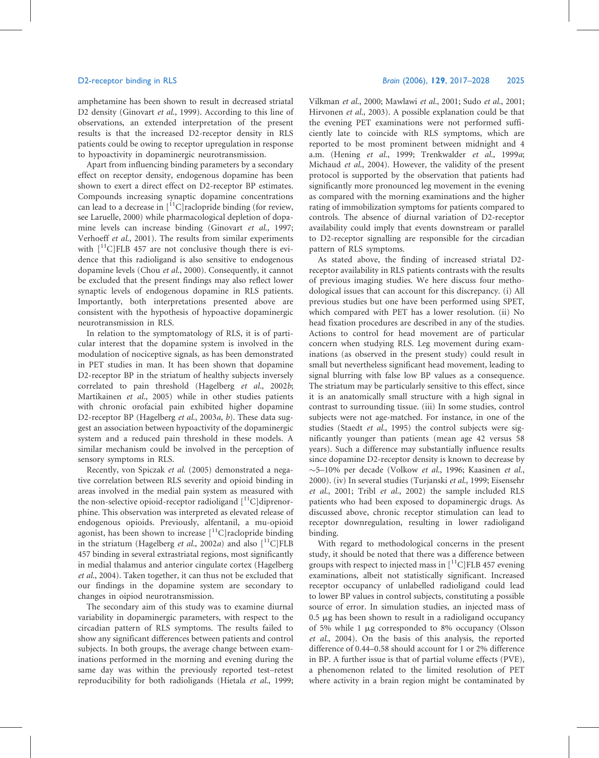amphetamine has been shown to result in decreased striatal D2 density (Ginovart et al., 1999). According to this line of observations, an extended interpretation of the present results is that the increased D2-receptor density in RLS patients could be owing to receptor upregulation in response to hypoactivity in dopaminergic neurotransmission.

Apart from influencing binding parameters by a secondary effect on receptor density, endogenous dopamine has been shown to exert a direct effect on D2-receptor BP estimates. Compounds increasing synaptic dopamine concentrations can lead to a decrease in  $[{}^{11}C]$ raclopride binding (for review, see Laruelle, 2000) while pharmacological depletion of dopamine levels can increase binding (Ginovart et al., 1997; Verhoeff et al., 2001). The results from similar experiments with  $[$ <sup>11</sup>C]FLB 457 are not conclusive though there is evidence that this radioligand is also sensitive to endogenous dopamine levels (Chou et al., 2000). Consequently, it cannot be excluded that the present findings may also reflect lower synaptic levels of endogenous dopamine in RLS patients. Importantly, both interpretations presented above are consistent with the hypothesis of hypoactive dopaminergic neurotransmission in RLS.

In relation to the symptomatology of RLS, it is of particular interest that the dopamine system is involved in the modulation of nociceptive signals, as has been demonstrated in PET studies in man. It has been shown that dopamine D2-receptor BP in the striatum of healthy subjects inversely correlated to pain threshold (Hagelberg et al., 2002b; Martikainen et al., 2005) while in other studies patients with chronic orofacial pain exhibited higher dopamine D2-receptor BP (Hagelberg et al., 2003a, b). These data suggest an association between hypoactivity of the dopaminergic system and a reduced pain threshold in these models. A similar mechanism could be involved in the perception of sensory symptoms in RLS.

Recently, von Spiczak et al. (2005) demonstrated a negative correlation between RLS severity and opioid binding in areas involved in the medial pain system as measured with the non-selective opioid-receptor radioligand  $\binom{11}{1}$ C diprenorphine. This observation was interpreted as elevated release of endogenous opioids. Previously, alfentanil, a mu-opioid agonist, has been shown to increase  $[^{11}C]$ raclopride binding in the striatum (Hagelberg *et al.*, 2002*a*) and also  $[$ <sup>11</sup>C]FLB 457 binding in several extrastriatal regions, most significantly in medial thalamus and anterior cingulate cortex (Hagelberg et al., 2004). Taken together, it can thus not be excluded that our findings in the dopamine system are secondary to changes in oipiod neurotransmission.

The secondary aim of this study was to examine diurnal variability in dopaminergic parameters, with respect to the circadian pattern of RLS symptoms. The results failed to show any significant differences between patients and control subjects. In both groups, the average change between examinations performed in the morning and evening during the same day was within the previously reported test–retest reproducibility for both radioligands (Hietala et al., 1999;

Vilkman et al., 2000; Mawlawi et al., 2001; Sudo et al., 2001; Hirvonen et al., 2003). A possible explanation could be that the evening PET examinations were not performed sufficiently late to coincide with RLS symptoms, which are reported to be most prominent between midnight and 4 a.m. (Hening et al., 1999; Trenkwalder et al., 1999a; Michaud et al., 2004). However, the validity of the present protocol is supported by the observation that patients had significantly more pronounced leg movement in the evening as compared with the morning examinations and the higher rating of immobilization symptoms for patients compared to controls. The absence of diurnal variation of D2-receptor availability could imply that events downstream or parallel to D2-receptor signalling are responsible for the circadian pattern of RLS symptoms.

As stated above, the finding of increased striatal D2 receptor availability in RLS patients contrasts with the results of previous imaging studies. We here discuss four methodological issues that can account for this discrepancy. (i) All previous studies but one have been performed using SPET, which compared with PET has a lower resolution. (ii) No head fixation procedures are described in any of the studies. Actions to control for head movement are of particular concern when studying RLS. Leg movement during examinations (as observed in the present study) could result in small but nevertheless significant head movement, leading to signal blurring with false low BP values as a consequence. The striatum may be particularly sensitive to this effect, since it is an anatomically small structure with a high signal in contrast to surrounding tissue. (iii) In some studies, control subjects were not age-matched. For instance, in one of the studies (Staedt et al., 1995) the control subjects were significantly younger than patients (mean age 42 versus 58 years). Such a difference may substantially influence results since dopamine D2-receptor density is known to decrease by  $\sim$ 5–10% per decade (Volkow et al., 1996; Kaasinen et al., 2000). (iv) In several studies (Turjanski et al., 1999; Eisensehr et al., 2001; Tribl et al., 2002) the sample included RLS patients who had been exposed to dopaminergic drugs. As discussed above, chronic receptor stimulation can lead to receptor downregulation, resulting in lower radioligand binding.

With regard to methodological concerns in the present study, it should be noted that there was a difference between groups with respect to injected mass in  $\binom{11}{1}$ C FLB 457 evening examinations, albeit not statistically significant. Increased receptor occupancy of unlabelled radioligand could lead to lower BP values in control subjects, constituting a possible source of error. In simulation studies, an injected mass of  $0.5 \mu$ g has been shown to result in a radioligand occupancy of 5% while 1 mg corresponded to 8% occupancy (Olsson et al., 2004). On the basis of this analysis, the reported difference of 0.44–0.58 should account for 1 or 2% difference in BP. A further issue is that of partial volume effects (PVE), a phenomenon related to the limited resolution of PET where activity in a brain region might be contaminated by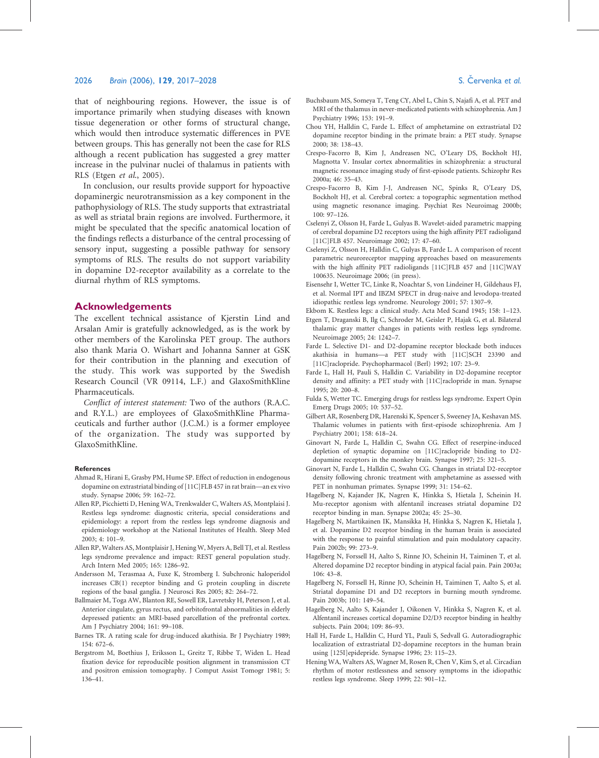# 2026 Brain (2006), 129, 2017–2028 S. C̆ervenka et al.

that of neighbouring regions. However, the issue is of importance primarily when studying diseases with known tissue degeneration or other forms of structural change, which would then introduce systematic differences in PVE between groups. This has generally not been the case for RLS although a recent publication has suggested a grey matter increase in the pulvinar nuclei of thalamus in patients with RLS (Etgen et al., 2005).

In conclusion, our results provide support for hypoactive dopaminergic neurotransmission as a key component in the pathophysiology of RLS. The study supports that extrastriatal as well as striatal brain regions are involved. Furthermore, it might be speculated that the specific anatomical location of the findings reflects a disturbance of the central processing of sensory input, suggesting a possible pathway for sensory symptoms of RLS. The results do not support variability in dopamine D2-receptor availability as a correlate to the diurnal rhythm of RLS symptoms.

#### Acknowledgements

The excellent technical assistance of Kjerstin Lind and Arsalan Amir is gratefully acknowledged, as is the work by other members of the Karolinska PET group. The authors also thank Maria O. Wishart and Johanna Sanner at GSK for their contribution in the planning and execution of the study. This work was supported by the Swedish Research Council (VR 09114, L.F.) and GlaxoSmithKline Pharmaceuticals.

Conflict of interest statement: Two of the authors (R.A.C. and R.Y.L.) are employees of GlaxoSmithKline Pharmaceuticals and further author (J.C.M.) is a former employee of the organization. The study was supported by GlaxoSmithKline.

#### References

- Ahmad R, Hirani E, Grasby PM, Hume SP. Effect of reduction in endogenous dopamine on extrastriatal binding of [11C]FLB 457 in rat brain—an ex vivo study. Synapse 2006; 59: 162–72.
- Allen RP, Picchietti D, Hening WA, Trenkwalder C, Walters AS, Montplaisi J. Restless legs syndrome: diagnostic criteria, special considerations and epidemiology: a report from the restless legs syndrome diagnosis and epidemiology workshop at the National Institutes of Health. Sleep Med 2003; 4: 101–9.
- Allen RP, Walters AS, Montplaisir J, Hening W, Myers A, Bell TJ, et al. Restless legs syndrome prevalence and impact: REST general population study. Arch Intern Med 2005; 165: 1286–92.
- Andersson M, Terasmaa A, Fuxe K, Stromberg I. Subchronic haloperidol increases CB(1) receptor binding and G protein coupling in discrete regions of the basal ganglia. J Neurosci Res 2005; 82: 264–72.
- Ballmaier M, Toga AW, Blanton RE, Sowell ER, Lavretsky H, Peterson J, et al. Anterior cingulate, gyrus rectus, and orbitofrontal abnormalities in elderly depressed patients: an MRI-based parcellation of the prefrontal cortex. Am J Psychiatry 2004; 161: 99–108.
- Barnes TR. A rating scale for drug-induced akathisia. Br J Psychiatry 1989; 154: 672–6.
- Bergstrom M, Boethius J, Eriksson L, Greitz T, Ribbe T, Widen L. Head fixation device for reproducible position alignment in transmission CT and positron emission tomography. J Comput Assist Tomogr 1981; 5: 136–41.
- 
- Buchsbaum MS, Someya T, Teng CY, Abel L, Chin S, Najafi A, et al. PET and MRI of the thalamus in never-medicated patients with schizophrenia. Am J Psychiatry 1996; 153: 191–9.
- Chou YH, Halldin C, Farde L. Effect of amphetamine on extrastriatal D2 dopamine receptor binding in the primate brain: a PET study. Synapse 2000; 38: 138–43.
- Crespo-Facorro B, Kim J, Andreasen NC, O'Leary DS, Bockholt HJ, Magnotta V. Insular cortex abnormalities in schizophrenia: a structural magnetic resonance imaging study of first-episode patients. Schizophr Res 2000a; 46: 35–43.
- Crespo-Facorro B, Kim J-J, Andreasen NC, Spinks R, O'Leary DS, Bockholt HJ, et al. Cerebral cortex: a topographic segmentation method using magnetic resonance imaging. Psychiat Res Neuroimag 2000b; 100: 97–126.
- Cselenyi Z, Olsson H, Farde L, Gulyas B. Wavelet-aided parametric mapping of cerebral dopamine D2 receptors using the high affinity PET radioligand [11C]FLB 457. Neuroimage 2002; 17: 47–60.
- Cselenyi Z, Olsson H, Halldin C, Gulyas B, Farde L. A comparison of recent parametric neuroreceptor mapping approaches based on measurements with the high affinity PET radioligands [11C]FLB 457 and [11C]WAY 100635. Neuroimage 2006; (in press).
- Eisensehr I, Wetter TC, Linke R, Noachtar S, von Lindeiner H, Gildehaus FJ, et al. Normal IPT and IBZM SPECT in drug-naive and levodopa-treated idiopathic restless legs syndrome. Neurology 2001; 57: 1307–9.
- Ekbom K. Restless legs: a clinical study. Acta Med Scand 1945; 158: 1–123.
- Etgen T, Draganski B, Ilg C, Schroder M, Geisler P, Hajak G, et al. Bilateral thalamic gray matter changes in patients with restless legs syndrome. Neuroimage 2005; 24: 1242–7.
- Farde L. Selective D1- and D2-dopamine receptor blockade both induces akathisia in humans—a PET study with [11C]SCH 23390 and [11C]raclopride. Psychopharmacol (Berl) 1992; 107: 23–9.
- Farde L, Hall H, Pauli S, Halldin C. Variability in D2-dopamine receptor density and affinity: a PET study with [11C]raclopride in man. Synapse 1995; 20: 200–8.
- Fulda S, Wetter TC. Emerging drugs for restless legs syndrome. Expert Opin Emerg Drugs 2005; 10: 537–52.
- Gilbert AR, Rosenberg DR, Harenski K, Spencer S, Sweeney JA, Keshavan MS. Thalamic volumes in patients with first-episode schizophrenia. Am J Psychiatry 2001; 158: 618–24.
- Ginovart N, Farde L, Halldin C, Swahn CG. Effect of reserpine-induced depletion of synaptic dopamine on [11C]raclopride binding to D2 dopamine receptors in the monkey brain. Synapse 1997; 25: 321–5.
- Ginovart N, Farde L, Halldin C, Swahn CG. Changes in striatal D2-receptor density following chronic treatment with amphetamine as assessed with PET in nonhuman primates. Synapse 1999; 31: 154–62.
- Hagelberg N, Kajander JK, Nagren K, Hinkka S, Hietala J, Scheinin H. Mu-receptor agonism with alfentanil increases striatal dopamine D2 receptor binding in man. Synapse 2002a; 45: 25–30.
- Hagelberg N, Martikainen IK, Mansikka H, Hinkka S, Nagren K, Hietala J, et al. Dopamine D2 receptor binding in the human brain is associated with the response to painful stimulation and pain modulatory capacity. Pain 2002b; 99: 273–9.
- Hagelberg N, Forssell H, Aalto S, Rinne JO, Scheinin H, Taiminen T, et al. Altered dopamine D2 receptor binding in atypical facial pain. Pain 2003a; 106: 43–8.
- Hagelberg N, Forssell H, Rinne JO, Scheinin H, Taiminen T, Aalto S, et al. Striatal dopamine D1 and D2 receptors in burning mouth syndrome. Pain 2003b; 101: 149–54.
- Hagelberg N, Aalto S, Kajander J, Oikonen V, Hinkka S, Nagren K, et al. Alfentanil increases cortical dopamine D2/D3 receptor binding in healthy subjects. Pain 2004; 109: 86–93.
- Hall H, Farde L, Halldin C, Hurd YL, Pauli S, Sedvall G. Autoradiographic localization of extrastriatal D2-dopamine receptors in the human brain using [125I]epidepride. Synapse 1996; 23: 115–23.
- Hening WA, Walters AS, Wagner M, Rosen R, Chen V, Kim S, et al. Circadian rhythm of motor restlessness and sensory symptoms in the idiopathic restless legs syndrome. Sleep 1999; 22: 901–12.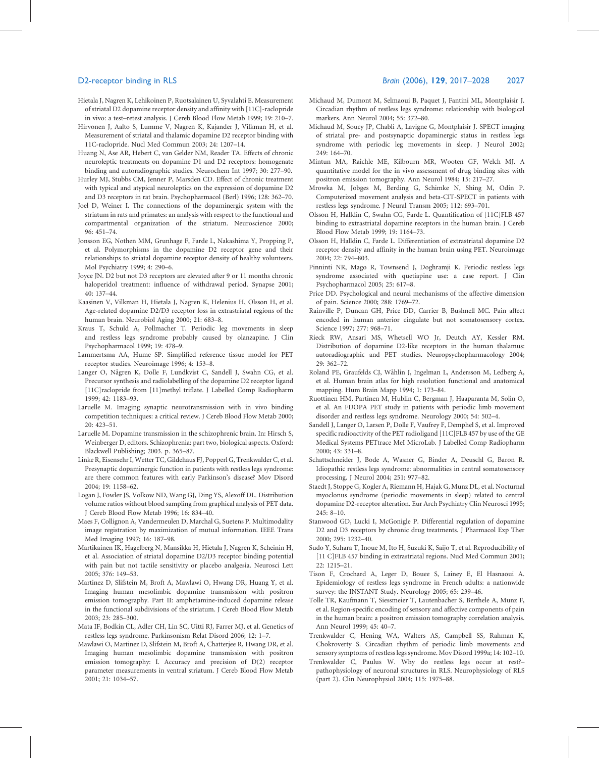- Hietala J, Nagren K, Lehikoinen P, Ruotsalainen U, Syvalahti E. Measurement of striatal D2 dopamine receptor density and affinity with [11C]-raclopride in vivo: a test–retest analysis. J Cereb Blood Flow Metab 1999; 19: 210–7.
- Hirvonen J, Aalto S, Lumme V, Nagren K, Kajander J, Vilkman H, et al. Measurement of striatal and thalamic dopamine D2 receptor binding with 11C-raclopride. Nucl Med Commun 2003; 24: 1207–14.
- Huang N, Ase AR, Hebert C, van Gelder NM, Reader TA. Effects of chronic neuroleptic treatments on dopamine D1 and D2 receptors: homogenate binding and autoradiographic studies. Neurochem Int 1997; 30: 277–90.
- Hurley MJ, Stubbs CM, Jenner P, Marsden CD. Effect of chronic treatment with typical and atypical neuroleptics on the expression of dopamine D2 and D3 receptors in rat brain. Psychopharmacol (Berl) 1996; 128: 362–70.
- Joel D, Weiner I. The connections of the dopaminergic system with the striatum in rats and primates: an analysis with respect to the functional and compartmental organization of the striatum. Neuroscience 2000; 96: 451–74.
- Jonsson EG, Nothen MM, Grunhage F, Farde L, Nakashima Y, Propping P, et al. Polymorphisms in the dopamine D2 receptor gene and their relationships to striatal dopamine receptor density of healthy volunteers. Mol Psychiatry 1999; 4: 290–6.
- Joyce JN. D2 but not D3 receptors are elevated after 9 or 11 months chronic haloperidol treatment: influence of withdrawal period. Synapse 2001; 40: 137–44.
- Kaasinen V, Vilkman H, Hietala J, Nagren K, Helenius H, Olsson H, et al. Age-related dopamine D2/D3 receptor loss in extrastriatal regions of the human brain. Neurobiol Aging 2000; 21: 683–8.
- Kraus T, Schuld A, Pollmacher T. Periodic leg movements in sleep and restless legs syndrome probably caused by olanzapine. J Clin Psychopharmacol 1999; 19: 478–9.
- Lammertsma AA, Hume SP. Simplified reference tissue model for PET receptor studies. Neuroimage 1996; 4: 153–8.
- Langer O, Någren K, Dolle F, Lundkvist C, Sandell J, Swahn CG, et al. Precursor synthesis and radiolabelling of the dopamine D2 receptor ligand [11C]raclopride from [11]methyl triflate. J Labelled Comp Radiopharm 1999; 42: 1183–93.
- Laruelle M. Imaging synaptic neurotransmission with in vivo binding competition techniques: a critical review. J Cereb Blood Flow Metab 2000; 20: 423–51.
- Laruelle M. Dopamine transmission in the schizophrenic brain. In: Hirsch S, Weinberger D, editors. Schizophrenia: part two, biological aspects. Oxford: Blackwell Publishing; 2003. p. 365–87.
- Linke R, Eisensehr I, Wetter TC, Gildehaus FJ, Popperl G, Trenkwalder C, et al. Presynaptic dopaminergic function in patients with restless legs syndrome: are there common features with early Parkinson's disease? Mov Disord 2004; 19: 1158–62.
- Logan J, Fowler JS, Volkow ND, Wang GJ, Ding YS, Alexoff DL. Distribution volume ratios without blood sampling from graphical analysis of PET data. J Cereb Blood Flow Metab 1996; 16: 834–40.
- Maes F, Collignon A, Vandermeulen D, Marchal G, Suetens P. Multimodality image registration by maximization of mutual information. IEEE Trans Med Imaging 1997; 16: 187–98.
- Martikainen IK, Hagelberg N, Mansikka H, Hietala J, Nagren K, Scheinin H, et al. Association of striatal dopamine D2/D3 receptor binding potential with pain but not tactile sensitivity or placebo analgesia. Neurosci Lett 2005; 376: 149–53.
- Martinez D, Slifstein M, Broft A, Mawlawi O, Hwang DR, Huang Y, et al. Imaging human mesolimbic dopamine transmission with positron emission tomography. Part II: amphetamine-induced dopamine release in the functional subdivisions of the striatum. J Cereb Blood Flow Metab 2003; 23: 285–300.
- Mata IF, Bodkin CL, Adler CH, Lin SC, Uitti RJ, Farrer MJ, et al. Genetics of restless legs syndrome. Parkinsonism Relat Disord 2006; 12: 1–7.
- Mawlawi O, Martinez D, Slifstein M, Broft A, Chatterjee R, Hwang DR, et al. Imaging human mesolimbic dopamine transmission with positron emission tomography: I. Accuracy and precision of D(2) receptor parameter measurements in ventral striatum. J Cereb Blood Flow Metab 2001; 21: 1034–57.
- Michaud M, Dumont M, Selmaoui B, Paquet J, Fantini ML, Montplaisir J. Circadian rhythm of restless legs syndrome: relationship with biological markers. Ann Neurol 2004; 55: 372–80.
- Michaud M, Soucy JP, Chabli A, Lavigne G, Montplaisir J. SPECT imaging of striatal pre- and postsynaptic dopaminergic status in restless legs syndrome with periodic leg movements in sleep. J Neurol 2002; 249: 164–70.
- Mintun MA, Raichle ME, Kilbourn MR, Wooten GF, Welch MJ. A quantitative model for the in vivo assessment of drug binding sites with positron emission tomography. Ann Neurol 1984; 15: 217–27.
- Mrowka M, Jobges M, Berding G, Schimke N, Shing M, Odin P. Computerized movement analysis and beta-CIT-SPECT in patients with restless legs syndrome. J Neural Transm 2005; 112: 693–701.
- Olsson H, Halldin C, Swahn CG, Farde L. Quantification of [11C]FLB 457 binding to extrastriatal dopamine receptors in the human brain. J Cereb Blood Flow Metab 1999; 19: 1164–73.
- Olsson H, Halldin C, Farde L. Differentiation of extrastriatal dopamine D2 receptor density and affinity in the human brain using PET. Neuroimage 2004; 22: 794–803.
- Pinninti NR, Mago R, Townsend J, Doghramji K. Periodic restless legs syndrome associated with quetiapine use: a case report. J Clin Psychopharmacol 2005; 25: 617–8.
- Price DD. Psychological and neural mechanisms of the affective dimension of pain. Science 2000; 288: 1769–72.
- Rainville P, Duncan GH, Price DD, Carrier B, Bushnell MC. Pain affect encoded in human anterior cingulate but not somatosensory cortex. Science 1997; 277: 968–71.
- Rieck RW, Ansari MS, Whetsell WO Jr, Deutch AY, Kessler RM. Distribution of dopamine D2-like receptors in the human thalamus: autoradiographic and PET studies. Neuropsychopharmacology 2004; 29: 362–72.
- Roland PE, Graufelds CJ, Wåhlin J, Ingelman L, Andersson M, Ledberg A, et al. Human brain atlas for high resolution functional and anatomical mapping. Hum Brain Mapp 1994; 1: 173–84.
- Ruottinen HM, Partinen M, Hublin C, Bergman J, Haaparanta M, Solin O, et al. An FDOPA PET study in patients with periodic limb movement disorder and restless legs syndrome. Neurology 2000; 54: 502–4.
- Sandell J, Langer O, Larsen P, Dolle F, Vaufrey F, Demphel S, et al. Improved specific radioactivity of the PET radioligand [11C]FLB 457 by use of the GE Medical Systems PETtrace MeI MicroLab. J Labelled Comp Radiopharm 2000; 43: 331–8.
- Schattschneider J, Bode A, Wasner G, Binder A, Deuschl G, Baron R. Idiopathic restless legs syndrome: abnormalities in central somatosensory processing. J Neurol 2004; 251: 977–82.
- Staedt J, Stoppe G, Kogler A, Riemann H, Hajak G, Munz DL, et al. Nocturnal myoclonus syndrome (periodic movements in sleep) related to central dopamine D2-receptor alteration. Eur Arch Psychiatry Clin Neurosci 1995;  $245: 8 - 10.$
- Stanwood GD, Lucki I, McGonigle P. Differential regulation of dopamine D2 and D3 receptors by chronic drug treatments. J Pharmacol Exp Ther 2000; 295: 1232–40.
- Sudo Y, Suhara T, Inoue M, Ito H, Suzuki K, Saijo T, et al. Reproducibility of [11 C]FLB 457 binding in extrastriatal regions. Nucl Med Commun 2001; 22: 1215–21.
- Tison F, Crochard A, Leger D, Bouee S, Lainey E, El Hasnaoui A. Epidemiology of restless legs syndrome in French adults: a nationwide survey: the INSTANT Study. Neurology 2005; 65: 239–46.
- Tolle TR, Kaufmann T, Siessmeier T, Lautenbacher S, Berthele A, Munz F, et al. Region-specific encoding of sensory and affective components of pain in the human brain: a positron emission tomography correlation analysis. Ann Neurol 1999; 45: 40–7.
- Trenkwalder C, Hening WA, Walters AS, Campbell SS, Rahman K, Chokroverty S. Circadian rhythm of periodic limb movements and sensory symptoms of restless legs syndrome. Mov Disord 1999a; 14: 102–10.
- Trenkwalder C, Paulus W. Why do restless legs occur at rest?– pathophysiology of neuronal structures in RLS. Neurophysiology of RLS (part 2). Clin Neurophysiol 2004; 115: 1975–88.